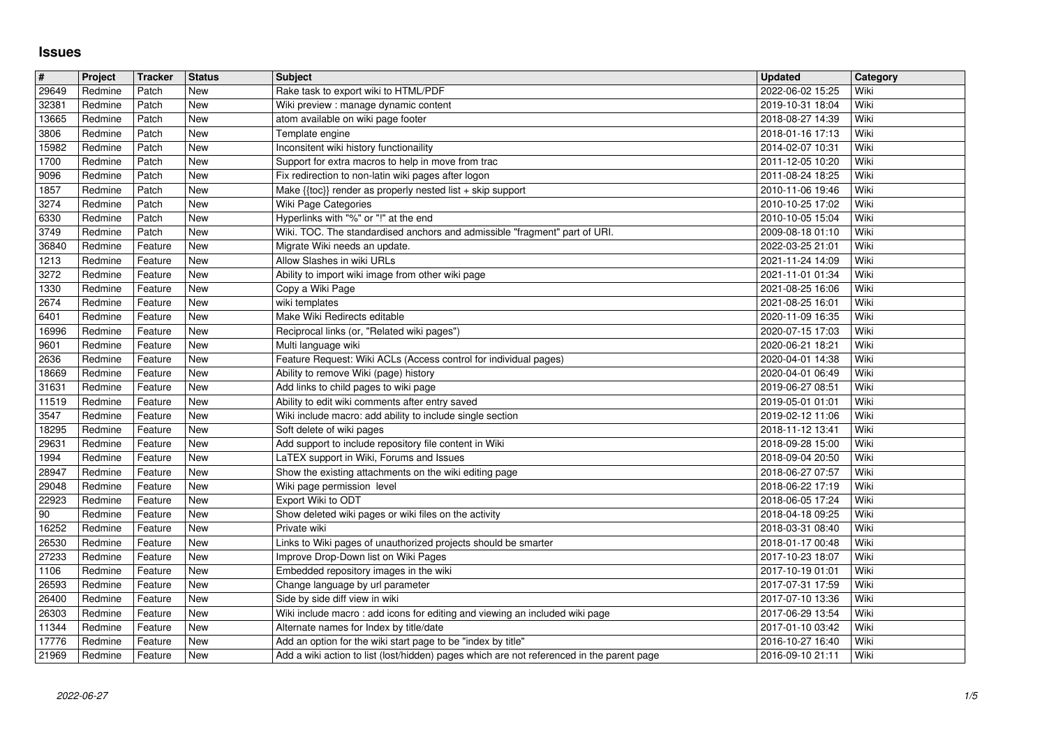## **Issues**

| $\overline{\#}$          | Project            | <b>Tracker</b>     | <b>Status</b>            | <b>Subject</b>                                                                                                      | <b>Updated</b>                       | Category     |
|--------------------------|--------------------|--------------------|--------------------------|---------------------------------------------------------------------------------------------------------------------|--------------------------------------|--------------|
| 29649                    | Redmine            | Patch              | <b>New</b>               | Rake task to export wiki to HTML/PDF                                                                                | 2022-06-02 15:25                     | Wiki         |
| 32381<br>13665           | Redmine<br>Redmine | Patch<br>Patch     | New<br><b>New</b>        | Wiki preview : manage dynamic content<br>atom available on wiki page footer                                         | 2019-10-31 18:04<br>2018-08-27 14:39 | Wiki<br>Wiki |
| 3806                     | Redmine            | Patch              | <b>New</b>               | Template engine                                                                                                     | 2018-01-16 17:13                     | Wiki         |
| 15982                    | Redmine            | Patch              | New                      | Inconsitent wiki history functionaility                                                                             | 2014-02-07 10:31                     | Wiki         |
| 1700<br>9096             | Redmine<br>Redmine | Patch<br>Patch     | New<br>New               | Support for extra macros to help in move from trac<br>Fix redirection to non-latin wiki pages after logon           | 2011-12-05 10:20<br>2011-08-24 18:25 | Wiki<br>Wiki |
| 1857                     | Redmine            | Patch              | New                      | Make {{toc}} render as properly nested list + skip support                                                          | 2010-11-06 19:46                     | Wiki         |
| 3274                     | Redmine            | Patch              | <b>New</b>               | Wiki Page Categories                                                                                                | 2010-10-25 17:02                     | Wiki         |
| 6330<br>3749             | Redmine<br>Redmine | Patch<br>Patch     | <b>New</b><br>New        | Hyperlinks with "%" or "!" at the end<br>Wiki. TOC. The standardised anchors and admissible "fragment" part of URI. | 2010-10-05 15:04                     | Wiki<br>Wiki |
| 36840                    | Redmine            | Feature            | <b>New</b>               | Migrate Wiki needs an update.                                                                                       | 2009-08-18 01:10<br>2022-03-25 21:01 | Wiki         |
| 1213                     | Redmine            | Feature            | <b>New</b>               | Allow Slashes in wiki URLs                                                                                          | 2021-11-24 14:09                     | Wiki         |
| 3272<br>1330             | Redmine<br>Redmine | Feature<br>Feature | New<br>New               | Ability to import wiki image from other wiki page<br>Copy a Wiki Page                                               | 2021-11-01 01:34<br>2021-08-25 16:06 | Wiki<br>Wiki |
| 2674                     | Redmine            | Feature            | New                      | wiki templates                                                                                                      | 2021-08-25 16:01                     | Wiki         |
| 6401                     | Redmine            | Feature            | New                      | Make Wiki Redirects editable                                                                                        | 2020-11-09 16:35                     | Wiki         |
| 16996<br>9601            | Redmine<br>Redmine | Feature            | New<br>New               | Reciprocal links (or, "Related wiki pages")<br>Multi language wiki                                                  | 2020-07-15 17:03<br>2020-06-21 18:21 | Wiki<br>Wiki |
| 2636                     | Redmine            | Feature<br>Feature | <b>New</b>               | Feature Request: Wiki ACLs (Access control for individual pages)                                                    | 2020-04-01 14:38                     | Wiki         |
| 18669                    | Redmine            | Feature            | <b>New</b>               | Ability to remove Wiki (page) history                                                                               | 2020-04-01 06:49                     | Wiki         |
| 31631<br>11519           | Redmine<br>Redmine | Feature<br>Feature | New<br>New               | Add links to child pages to wiki page<br>Ability to edit wiki comments after entry saved                            | 2019-06-27 08:51<br>2019-05-01 01:01 | Wiki<br>Wiki |
| 3547                     | Redmine            | Feature            | New                      | Wiki include macro: add ability to include single section                                                           | 2019-02-12 11:06                     | Wiki         |
| 18295                    | Redmine            | Feature            | New                      | Soft delete of wiki pages                                                                                           | 2018-11-12 13:41                     | Wiki         |
| 29631<br>1994            | Redmine<br>Redmine | Feature<br>Feature | New<br><b>New</b>        | Add support to include repository file content in Wiki<br>LaTEX support in Wiki, Forums and Issues                  | 2018-09-28 15:00<br>2018-09-04 20:50 | Wiki<br>Wiki |
| 28947                    | Redmine            | Feature            | New                      | Show the existing attachments on the wiki editing page                                                              | 2018-06-27 07:57                     | Wiki         |
| 29048                    | Redmine            | Feature            | <b>New</b>               | Wiki page permission level                                                                                          | 2018-06-22 17:19                     | Wiki         |
| 22923                    | Redmine            | Feature            | <b>New</b><br><b>New</b> | Export Wiki to ODT                                                                                                  | 2018-06-05 17:24                     | Wiki<br>Wiki |
| $\overline{90}$<br>16252 | Redmine<br>Redmine | Feature<br>Feature | New                      | Show deleted wiki pages or wiki files on the activity<br>Private wiki                                               | 2018-04-18 09:25<br>2018-03-31 08:40 | Wiki         |
| 26530                    | Redmine            | Feature            | New                      | Links to Wiki pages of unauthorized projects should be smarter                                                      | 2018-01-17 00:48                     | Wiki         |
| 27233                    | Redmine            | Feature            | New                      | Improve Drop-Down list on Wiki Pages                                                                                | 2017-10-23 18:07                     | Wiki         |
| 1106<br>26593            | Redmine<br>Redmine | Feature<br>Feature | New<br>New               | Embedded repository images in the wiki<br>Change language by url parameter                                          | 2017-10-19 01:01<br>2017-07-31 17:59 | Wiki<br>Wiki |
| 26400                    | Redmine            | Feature            | New                      | Side by side diff view in wiki                                                                                      | 2017-07-10 13:36                     | Wiki         |
| 26303                    | Redmine            | Feature            | New                      | Wiki include macro: add icons for editing and viewing an included wiki page                                         | 2017-06-29 13:54                     | Wiki         |
| 11344<br>17776           | Redmine<br>Redmine | Feature<br>Feature | New<br><b>New</b>        | Alternate names for Index by title/date<br>Add an option for the wiki start page to be "index by title"             | 2017-01-10 03:42<br>2016-10-27 16:40 | Wiki<br>Wiki |
| 21969                    | Redmine            | Feature            | New                      | Add a wiki action to list (lost/hidden) pages which are not referenced in the parent page                           | 2016-09-10 21:11                     | Wiki         |
|                          |                    |                    |                          |                                                                                                                     |                                      |              |
|                          |                    |                    |                          |                                                                                                                     |                                      |              |
|                          |                    |                    |                          |                                                                                                                     |                                      |              |
|                          |                    |                    |                          |                                                                                                                     |                                      |              |
|                          |                    |                    |                          |                                                                                                                     |                                      |              |
|                          |                    |                    |                          |                                                                                                                     |                                      |              |
|                          |                    |                    |                          |                                                                                                                     |                                      |              |
|                          |                    |                    |                          |                                                                                                                     |                                      |              |
|                          |                    |                    |                          |                                                                                                                     |                                      |              |
|                          |                    |                    |                          |                                                                                                                     |                                      |              |
|                          |                    |                    |                          |                                                                                                                     |                                      |              |
|                          |                    |                    |                          |                                                                                                                     |                                      |              |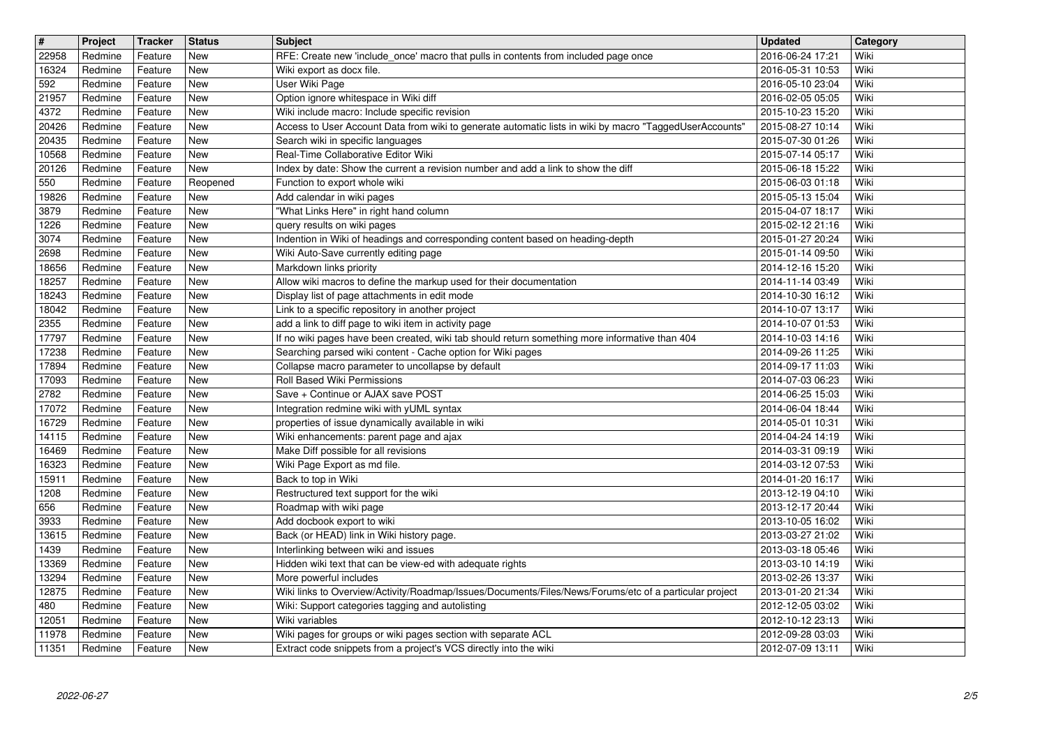| $\overline{\mathbf{H}}$ | Project            | Tracker            | <b>Status</b>            | <b>Subject</b>                                                                                                                                           | <b>Updated</b>                       | Category     |
|-------------------------|--------------------|--------------------|--------------------------|----------------------------------------------------------------------------------------------------------------------------------------------------------|--------------------------------------|--------------|
| 22958<br>16324          | Redmine<br>Redmine | Feature<br>Feature | New<br><b>New</b>        | RFE: Create new 'include_once' macro that pulls in contents from included page once<br>Wiki export as docx file.                                         | 2016-06-24 17:21<br>2016-05-31 10:53 | Wiki<br>Wiki |
| 592                     | Redmine            | Feature            | <b>New</b>               | User Wiki Page                                                                                                                                           | 2016-05-10 23:04                     | Wiki         |
| 21957                   | Redmine            | Feature            | <b>New</b>               | Option ignore whitespace in Wiki diff                                                                                                                    | 2016-02-05 05:05                     | Wiki         |
| 4372<br>20426           | Redmine<br>Redmine | Feature<br>Feature | <b>New</b><br><b>New</b> | Wiki include macro: Include specific revision<br>Access to User Account Data from wiki to generate automatic lists in wiki by macro "TaggedUserAccounts" | 2015-10-23 15:20<br>2015-08-27 10:14 | Wiki<br>Wiki |
| 20435                   | Redmine            | Feature            | New                      | Search wiki in specific languages                                                                                                                        | 2015-07-30 01:26                     | Wiki         |
| 10568                   | Redmine            | Feature            | New                      | Real-Time Collaborative Editor Wiki                                                                                                                      | 2015-07-14 05:17                     | Wiki         |
| 20126<br>550            | Redmine<br>Redmine | Feature<br>Feature | New<br>Reopened          | Index by date: Show the current a revision number and add a link to show the diff<br>Function to export whole wiki                                       | 2015-06-18 15:22<br>2015-06-03 01:18 | Wiki<br>Wiki |
| 19826                   | Redmine            | Feature            | <b>New</b>               | Add calendar in wiki pages                                                                                                                               | 2015-05-13 15:04                     | Wiki         |
| 3879                    | Redmine            | Feature            | New                      | "What Links Here" in right hand column                                                                                                                   | 2015-04-07 18:17                     | Wiki         |
| 1226<br>3074            | Redmine<br>Redmine | Feature<br>Feature | <b>New</b><br><b>New</b> | query results on wiki pages<br>Indention in Wiki of headings and corresponding content based on heading-depth                                            | 2015-02-12 21:16<br>2015-01-27 20:24 | Wiki<br>Wiki |
| 2698                    | Redmine            | Feature            | <b>New</b>               | Wiki Auto-Save currently editing page                                                                                                                    | 2015-01-14 09:50                     | Wiki         |
| 18656<br>18257          | Redmine<br>Redmine | Feature<br>Feature | <b>New</b><br>New        | Markdown links priority<br>Allow wiki macros to define the markup used for their documentation                                                           | 2014-12-16 15:20<br>2014-11-14 03:49 | Wiki<br>Wiki |
| 18243                   | Redmine            | Feature            | New                      | Display list of page attachments in edit mode                                                                                                            | 2014-10-30 16:12                     | Wiki         |
| 18042                   | Redmine            | Feature            | <b>New</b>               | Link to a specific repository in another project                                                                                                         | 2014-10-07 13:17                     | Wiki         |
| 2355<br>17797           | Redmine<br>Redmine | Feature<br>Feature | New<br>New               | add a link to diff page to wiki item in activity page<br>If no wiki pages have been created, wiki tab should return something more informative than 404  | 2014-10-07 01:53<br>2014-10-03 14:16 | Wiki<br>Wiki |
| 17238                   | Redmine            | Feature            | <b>New</b>               | Searching parsed wiki content - Cache option for Wiki pages                                                                                              | 2014-09-26 11:25                     | Wiki         |
| 17894                   | Redmine            | Feature            | New                      | Collapse macro parameter to uncollapse by default                                                                                                        | 2014-09-17 11:03                     | Wiki         |
| 17093<br>2782           | Redmine<br>Redmine | Feature<br>Feature | New<br>New               | Roll Based Wiki Permissions<br>Save + Continue or AJAX save POST                                                                                         | 2014-07-03 06:23<br>2014-06-25 15:03 | Wiki<br>Wiki |
| 17072                   | Redmine            | Feature            | New                      | Integration redmine wiki with yUML syntax                                                                                                                | 2014-06-04 18:44                     | Wiki         |
| 16729                   | Redmine            | Feature            | New                      | properties of issue dynamically available in wiki                                                                                                        | 2014-05-01 10:31                     | Wiki         |
| 14115<br>16469          | Redmine<br>Redmine | Feature<br>Feature | New<br>New               | Wiki enhancements: parent page and ajax<br>Make Diff possible for all revisions                                                                          | 2014-04-24 14:19<br>2014-03-31 09:19 | Wiki<br>Wiki |
| 16323                   | Redmine            | Feature            | New                      | Wiki Page Export as md file.                                                                                                                             | 2014-03-12 07:53                     | Wiki         |
| 15911                   | Redmine            | Feature            | New                      | Back to top in Wiki                                                                                                                                      | 2014-01-20 16:17                     | Wiki         |
| 1208<br>656             | Redmine<br>Redmine | Feature<br>Feature | New<br>New               | Restructured text support for the wiki<br>Roadmap with wiki page                                                                                         | 2013-12-19 04:10<br>2013-12-17 20:44 | Wiki<br>Wiki |
| 3933                    | Redmine            | Feature            | New                      | Add docbook export to wiki                                                                                                                               | 2013-10-05 16:02                     | Wiki         |
| 13615                   | Redmine            | Feature            | New                      | Back (or HEAD) link in Wiki history page.                                                                                                                | 2013-03-27 21:02                     | Wiki         |
| 1439<br>13369           | Redmine<br>Redmine | Feature<br>Feature | New<br>New               | Interlinking between wiki and issues<br>Hidden wiki text that can be view-ed with adequate rights                                                        | 2013-03-18 05:46                     | Wiki<br>Wiki |
| 13294                   | Redmine            | Feature            | New                      | More powerful includes                                                                                                                                   | 2013-03-10 14:19<br>2013-02-26 13:37 | Wiki         |
| 12875                   | Redmine            | Feature            | New                      | Wiki links to Overview/Activity/Roadmap/Issues/Documents/Files/News/Forums/etc of a particular project                                                   | 2013-01-20 21:34                     | Wiki         |
| 480                     | Redmine            | Feature            | New                      | Wiki: Support categories tagging and autolisting                                                                                                         | 2012-12-05 03:02                     | Wiki         |
| 12051<br>11978          | Redmine<br>Redmine | Feature<br>Feature | New<br>New               | Wiki variables<br>Wiki pages for groups or wiki pages section with separate ACL                                                                          | 2012-10-12 23:13<br>2012-09-28 03:03 | Wiki<br>Wiki |
| 11351                   | Redmine            | Feature            | New                      | Extract code snippets from a project's VCS directly into the wiki                                                                                        | 2012-07-09 13:11                     | Wiki         |
|                         |                    |                    |                          |                                                                                                                                                          |                                      |              |
|                         |                    |                    |                          |                                                                                                                                                          |                                      |              |
|                         |                    |                    |                          |                                                                                                                                                          |                                      |              |
|                         |                    |                    |                          |                                                                                                                                                          |                                      |              |
|                         |                    |                    |                          |                                                                                                                                                          |                                      |              |
|                         |                    |                    |                          |                                                                                                                                                          |                                      |              |
|                         |                    |                    |                          |                                                                                                                                                          |                                      |              |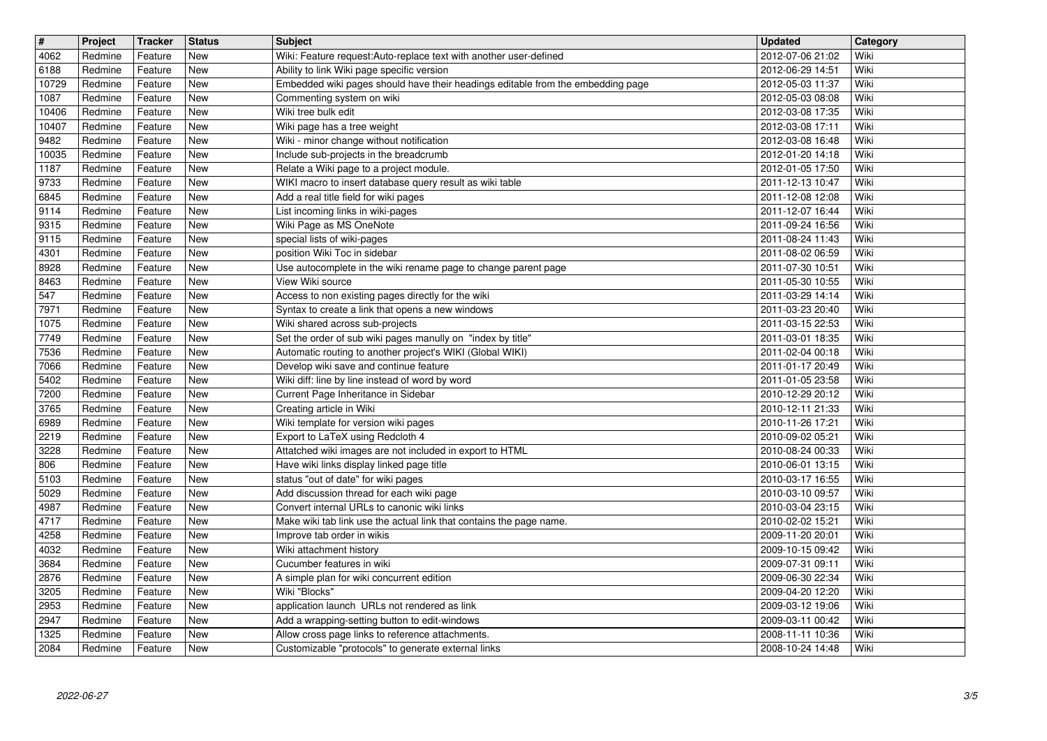| $\overline{\mathbf{t}}$ | Project            | Tracker            | <b>Status</b>            | <b>Subject</b>                                                                                                   | <b>Updated</b>                       | Category     |
|-------------------------|--------------------|--------------------|--------------------------|------------------------------------------------------------------------------------------------------------------|--------------------------------------|--------------|
| 4062<br>6188            | Redmine<br>Redmine | Feature<br>Feature | New<br>New               | Wiki: Feature request: Auto-replace text with another user-defined<br>Ability to link Wiki page specific version | 2012-07-06 21:02<br>2012-06-29 14:51 | Wiki<br>Wiki |
| 10729                   | Redmine            | Feature            | New                      | Embedded wiki pages should have their headings editable from the embedding page                                  | 2012-05-03 11:37                     | Wiki         |
| 1087                    | Redmine            | Feature            | New<br>New               | Commenting system on wiki<br>Wiki tree bulk edit                                                                 | 2012-05-03 08:08                     | Wiki<br>Wiki |
| 10406<br>10407          | Redmine<br>Redmine | Feature<br>Feature | New                      | Wiki page has a tree weight                                                                                      | 2012-03-08 17:35<br>2012-03-08 17:11 | Wiki         |
| 9482                    | Redmine            | Feature            | New                      | Wiki - minor change without notification                                                                         | 2012-03-08 16:48                     | Wiki         |
| 10035<br>1187           | Redmine<br>Redmine | Feature<br>Feature | New<br>New               | Include sub-projects in the breadcrumb<br>Relate a Wiki page to a project module.                                | 2012-01-20 14:18<br>2012-01-05 17:50 | Wiki<br>Wiki |
| 9733                    | Redmine            | Feature            | <b>New</b>               | WIKI macro to insert database query result as wiki table                                                         | 2011-12-13 10:47                     | Wiki         |
| 6845                    | Redmine            | Feature            | <b>New</b>               | Add a real title field for wiki pages                                                                            | 2011-12-08 12:08                     | Wiki         |
| 9114<br>9315            | Redmine<br>Redmine | Feature<br>Feature | <b>New</b><br><b>New</b> | List incoming links in wiki-pages<br>Wiki Page as MS OneNote                                                     | 2011-12-07 16:44<br>2011-09-24 16:56 | Wiki<br>Wiki |
| 9115                    | Redmine            | Feature            | New                      | special lists of wiki-pages                                                                                      | 2011-08-24 11:43                     | Wiki         |
| 4301<br>8928            | Redmine<br>Redmine | Feature<br>Feature | <b>New</b><br><b>New</b> | position Wiki Toc in sidebar<br>Use autocomplete in the wiki rename page to change parent page                   | 2011-08-02 06:59<br>2011-07-30 10:51 | Wiki<br>Wiki |
| 8463                    | Redmine            | Feature            | <b>New</b>               | View Wiki source                                                                                                 | 2011-05-30 10:55                     | Wiki         |
| 547                     | Redmine            | Feature            | New                      | Access to non existing pages directly for the wiki                                                               | 2011-03-29 14:14                     | Wiki         |
| 7971<br>1075            | Redmine<br>Redmine | Feature<br>Feature | <b>New</b><br><b>New</b> | Syntax to create a link that opens a new windows<br>Wiki shared across sub-projects                              | 2011-03-23 20:40<br>2011-03-15 22:53 | Wiki<br>Wiki |
| 7749                    | Redmine            | Feature            | <b>New</b>               | Set the order of sub wiki pages manully on "index by title"                                                      | 2011-03-01 18:35                     | Wiki         |
| 7536                    | Redmine            | Feature            | <b>New</b>               | Automatic routing to another project's WIKI (Global WIKI)                                                        | 2011-02-04 00:18                     | Wiki         |
| 7066<br>5402            | Redmine<br>Redmine | Feature<br>Feature | New<br>New               | Develop wiki save and continue feature<br>Wiki diff: line by line instead of word by word                        | 2011-01-17 20:49<br>2011-01-05 23:58 | Wiki<br>Wiki |
| 7200                    | Redmine            | Feature            | New                      | Current Page Inheritance in Sidebar                                                                              | 2010-12-29 20:12                     | Wiki         |
| 3765<br>6989            | Redmine<br>Redmine | Feature<br>Feature | New<br>New               | Creating article in Wiki<br>Wiki template for version wiki pages                                                 | 2010-12-11 21:33<br>2010-11-26 17:21 | Wiki<br>Wiki |
| 2219                    | Redmine            | Feature            | <b>New</b>               | Export to LaTeX using Redcloth 4                                                                                 | 2010-09-02 05:21                     | Wiki         |
| 3228                    | Redmine            | Feature            | <b>New</b>               | Attatched wiki images are not included in export to HTML                                                         | 2010-08-24 00:33                     | Wiki         |
| 806<br>5103             | Redmine<br>Redmine | Feature<br>Feature | <b>New</b><br><b>New</b> | Have wiki links display linked page title<br>status "out of date" for wiki pages                                 | 2010-06-01 13:15<br>2010-03-17 16:55 | Wiki<br>Wiki |
| 5029                    | Redmine            | Feature            | <b>New</b>               | Add discussion thread for each wiki page                                                                         | 2010-03-10 09:57                     | Wiki         |
| 4987                    | Redmine            | Feature            | New                      | Convert internal URLs to canonic wiki links                                                                      | 2010-03-04 23:15                     | Wiki         |
| 4717<br>4258            | Redmine<br>Redmine | Feature<br>Feature | <b>New</b><br>New        | Make wiki tab link use the actual link that contains the page name.<br>Improve tab order in wikis                | 2010-02-02 15:21<br>2009-11-20 20:01 | Wiki<br>Wiki |
| 4032                    | Redmine            | Feature            | New                      | Wiki attachment history                                                                                          | 2009-10-15 09:42                     | Wiki         |
| 3684                    | Redmine            | Feature            | <b>New</b>               | Cucumber features in wiki                                                                                        | 2009-07-31 09:11                     | Wiki         |
| 2876<br>$3205$          | Redmine<br>Redmine | Feature<br>Feature | New<br>New               | A simple plan for wiki concurrent edition<br>Wiki "Blocks"                                                       | 2009-06-30 22:34<br>2009-04-20 12:20 | Wiki<br>Wiki |
| 2953                    | Redmine            | Feature            | New                      | application launch URLs not rendered as link                                                                     | 2009-03-12 19:06                     | Wiki         |
| 2947<br>1325            | Redmine<br>Redmine | Feature<br>Feature | New<br>New               | Add a wrapping-setting button to edit-windows<br>Allow cross page links to reference attachments.                | 2009-03-11 00:42<br>2008-11-11 10:36 | Wiki<br>Wiki |
| 2084                    | Redmine            | Feature            | New                      | Customizable "protocols" to generate external links                                                              | 2008-10-24 14:48                     | Wiki         |
|                         |                    |                    |                          |                                                                                                                  |                                      |              |
|                         |                    |                    |                          |                                                                                                                  |                                      |              |
|                         |                    |                    |                          |                                                                                                                  |                                      |              |
|                         |                    |                    |                          |                                                                                                                  |                                      |              |
|                         |                    |                    |                          |                                                                                                                  |                                      |              |
|                         |                    |                    |                          |                                                                                                                  |                                      |              |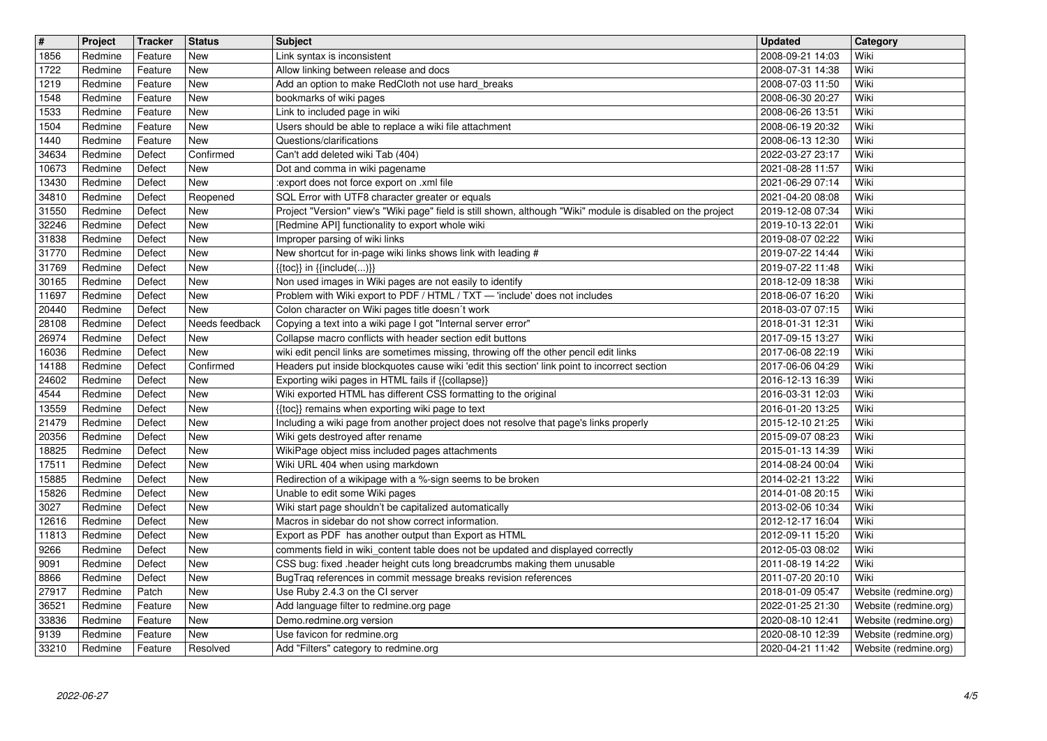| $\overline{\mathbf{H}}$<br>1856 | Project<br>Redmine | Tracker<br>Feature | <b>Status</b><br><b>New</b> | <b>Subject</b><br>Link syntax is inconsistent                                                                                                                                           | <b>Updated</b><br>2008-09-21 14:03   | Category<br>Wiki                               |
|---------------------------------|--------------------|--------------------|-----------------------------|-----------------------------------------------------------------------------------------------------------------------------------------------------------------------------------------|--------------------------------------|------------------------------------------------|
| 1722                            | Redmine            | Feature            | <b>New</b>                  | Allow linking between release and docs                                                                                                                                                  | 2008-07-31 14:38                     | Wiki                                           |
| 1219<br>1548                    | Redmine<br>Redmine | Feature<br>Feature | <b>New</b><br><b>New</b>    | Add an option to make RedCloth not use hard_breaks<br>bookmarks of wiki pages                                                                                                           | 2008-07-03 11:50<br>2008-06-30 20:27 | Wiki<br>Wiki                                   |
| 1533                            | Redmine            | Feature            | <b>New</b>                  | Link to included page in wiki                                                                                                                                                           | 2008-06-26 13:51                     | Wiki                                           |
| 1504<br>1440                    | Redmine<br>Redmine | Feature<br>Feature | <b>New</b><br>New           | Users should be able to replace a wiki file attachment<br>Questions/clarifications                                                                                                      | 2008-06-19 20:32<br>2008-06-13 12:30 | Wiki<br>Wiki                                   |
| 34634<br>10673                  | Redmine<br>Redmine | Defect<br>Defect   | Confirmed<br>New            | Can't add deleted wiki Tab (404)<br>Dot and comma in wiki pagename                                                                                                                      | 2022-03-27 23:17<br>2021-08-28 11:57 | Wiki<br>Wiki                                   |
| 13430                           | Redmine            | Defect             | New                         | :export does not force export on .xml file                                                                                                                                              | 2021-06-29 07:14                     | Wiki                                           |
| 34810<br>31550                  | Redmine<br>Redmine | Defect<br>Defect   | Reopened<br><b>New</b>      | SQL Error with UTF8 character greater or equals<br>Project "Version" view's "Wiki page" field is still shown, although "Wiki" module is disabled on the project                         | 2021-04-20 08:08<br>2019-12-08 07:34 | Wiki<br>Wiki                                   |
| 32246                           | Redmine            | Defect             | <b>New</b>                  | [Redmine API] functionality to export whole wiki                                                                                                                                        | 2019-10-13 22:01                     | Wiki                                           |
| 31838<br>31770                  | Redmine<br>Redmine | Defect<br>Defect   | <b>New</b><br><b>New</b>    | Improper parsing of wiki links<br>New shortcut for in-page wiki links shows link with leading #                                                                                         | 2019-08-07 02:22<br>2019-07-22 14:44 | Wiki<br>Wiki                                   |
| 31769<br>30165                  | Redmine<br>Redmine | Defect<br>Defect   | <b>New</b><br>New           | $\{\{toc\}\}\$ in $\{\{include(C, )\}\}\$<br>Non used images in Wiki pages are not easily to identify                                                                                   | 2019-07-22 11:48<br>2018-12-09 18:38 | Wiki<br>Wiki                                   |
| 11697                           | Redmine            | Defect             | New                         | Problem with Wiki export to PDF / HTML / TXT - 'include' does not includes                                                                                                              | 2018-06-07 16:20                     | Wiki                                           |
| 20440<br>28108                  | Redmine<br>Redmine | Defect<br>Defect   | New<br>Needs feedback       | Colon character on Wiki pages title doesn't work<br>Copying a text into a wiki page I got "Internal server error"                                                                       | 2018-03-07 07:15<br>2018-01-31 12:31 | Wiki<br>Wiki                                   |
| 26974                           | Redmine            | Defect             | <b>New</b>                  | Collapse macro conflicts with header section edit buttons                                                                                                                               | 2017-09-15 13:27                     | Wiki                                           |
| 16036<br>14188                  | Redmine<br>Redmine | Defect<br>Defect   | <b>New</b><br>Confirmed     | wiki edit pencil links are sometimes missing, throwing off the other pencil edit links<br>Headers put inside blockquotes cause wiki 'edit this section' link point to incorrect section | 2017-06-08 22:19<br>2017-06-06 04:29 | Wiki<br>Wiki                                   |
| 24602<br>4544                   | Redmine<br>Redmine | Defect<br>Defect   | <b>New</b><br>New           | Exporting wiki pages in HTML fails if {{collapse}}<br>Wiki exported HTML has different CSS formatting to the original                                                                   | 2016-12-13 16:39<br>2016-03-31 12:03 | Wiki<br>Wiki                                   |
| 13559                           | Redmine            | Defect             | <b>New</b>                  | {{toc}} remains when exporting wiki page to text                                                                                                                                        | 2016-01-20 13:25                     | Wiki                                           |
| 21479<br>20356                  | Redmine<br>Redmine | Defect<br>Defect   | <b>New</b><br><b>New</b>    | Including a wiki page from another project does not resolve that page's links properly<br>Wiki gets destroyed after rename                                                              | 2015-12-10 21:25<br>2015-09-07 08:23 | Wiki<br>Wiki                                   |
| 18825                           | Redmine            | Defect             | <b>New</b>                  | WikiPage object miss included pages attachments                                                                                                                                         | 2015-01-13 14:39                     | Wiki                                           |
| 17511<br>15885                  | Redmine<br>Redmine | Defect<br>Defect   | <b>New</b><br>New           | Wiki URL 404 when using markdown<br>Redirection of a wikipage with a %-sign seems to be broken                                                                                          | 2014-08-24 00:04<br>2014-02-21 13:22 | Wiki<br>Wiki                                   |
| 15826<br>3027                   | Redmine<br>Redmine | Defect<br>Defect   | <b>New</b><br><b>New</b>    | Unable to edit some Wiki pages<br>Wiki start page shouldn't be capitalized automatically                                                                                                | 2014-01-08 20:15<br>2013-02-06 10:34 | Wiki<br>Wiki                                   |
| 12616                           | Redmine            | Defect             | <b>New</b>                  | Macros in sidebar do not show correct information.                                                                                                                                      | 2012-12-17 16:04                     | Wiki                                           |
| 11813<br>9266                   | Redmine<br>Redmine | Defect<br>Defect   | <b>New</b><br>New           | Export as PDF has another output than Export as HTML<br>comments field in wiki_content table does not be updated and displayed correctly                                                | 2012-09-11 15:20<br>2012-05-03 08:02 | Wiki<br>Wiki                                   |
| 9091                            | Redmine            | Defect             | New                         | CSS bug: fixed .header height cuts long breadcrumbs making them unusable                                                                                                                | 2011-08-19 14:22                     | Wiki                                           |
| 8866<br>27917                   | Redmine<br>Redmine | Defect<br>Patch    | <b>New</b><br><b>New</b>    | BugTraq references in commit message breaks revision references<br>Use Ruby 2.4.3 on the CI server                                                                                      | 2011-07-20 20:10<br>2018-01-09 05:47 | Wiki<br>Website (redmine.org)                  |
| 36521<br>33836                  | Redmine<br>Redmine | Feature<br>Feature | New<br>New                  | Add language filter to redmine.org page<br>Demo.redmine.org version                                                                                                                     | 2022-01-25 21:30<br>2020-08-10 12:41 | Website (redmine.org)<br>Website (redmine.org) |
| 9139<br>33210                   | Redmine<br>Redmine | Feature<br>Feature | New<br>Resolved             | Use favicon for redmine.org<br>Add "Filters" category to redmine.org                                                                                                                    | 2020-08-10 12:39<br>2020-04-21 11:42 | Website (redmine.org)<br>Website (redmine.org) |
|                                 |                    |                    |                             |                                                                                                                                                                                         |                                      |                                                |
|                                 |                    |                    |                             |                                                                                                                                                                                         |                                      |                                                |
|                                 |                    |                    |                             |                                                                                                                                                                                         |                                      |                                                |
|                                 |                    |                    |                             |                                                                                                                                                                                         |                                      |                                                |
|                                 |                    |                    |                             |                                                                                                                                                                                         |                                      |                                                |
|                                 |                    |                    |                             |                                                                                                                                                                                         |                                      |                                                |
|                                 |                    |                    |                             |                                                                                                                                                                                         |                                      |                                                |
|                                 |                    |                    |                             |                                                                                                                                                                                         |                                      |                                                |
|                                 |                    |                    |                             |                                                                                                                                                                                         |                                      |                                                |
|                                 |                    |                    |                             |                                                                                                                                                                                         |                                      |                                                |
|                                 |                    |                    |                             |                                                                                                                                                                                         |                                      |                                                |
|                                 |                    |                    |                             |                                                                                                                                                                                         |                                      |                                                |